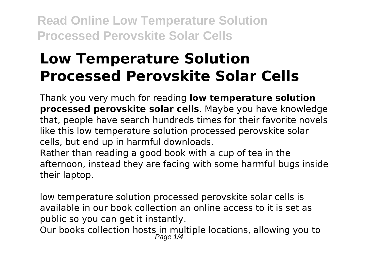# **Low Temperature Solution Processed Perovskite Solar Cells**

Thank you very much for reading **low temperature solution processed perovskite solar cells**. Maybe you have knowledge that, people have search hundreds times for their favorite novels like this low temperature solution processed perovskite solar cells, but end up in harmful downloads.

Rather than reading a good book with a cup of tea in the afternoon, instead they are facing with some harmful bugs inside their laptop.

low temperature solution processed perovskite solar cells is available in our book collection an online access to it is set as public so you can get it instantly.

Our books collection hosts in multiple locations, allowing you to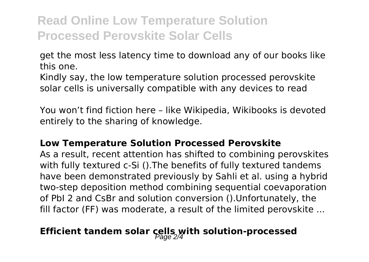get the most less latency time to download any of our books like this one.

Kindly say, the low temperature solution processed perovskite solar cells is universally compatible with any devices to read

You won't find fiction here – like Wikipedia, Wikibooks is devoted entirely to the sharing of knowledge.

#### **Low Temperature Solution Processed Perovskite**

As a result, recent attention has shifted to combining perovskites with fully textured c-Si ().The benefits of fully textured tandems have been demonstrated previously by Sahli et al. using a hybrid two-step deposition method combining sequential coevaporation of PbI 2 and CsBr and solution conversion ().Unfortunately, the fill factor (FF) was moderate, a result of the limited perovskite ...

### **Efficient tandem solar cells with solution-processed**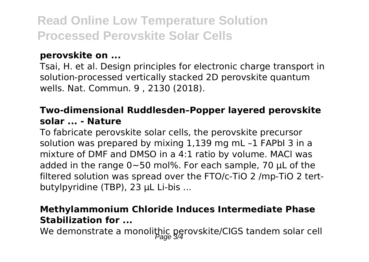#### **perovskite on ...**

Tsai, H. et al. Design principles for electronic charge transport in solution-processed vertically stacked 2D perovskite quantum wells. Nat. Commun. 9 , 2130 (2018).

#### **Two-dimensional Ruddlesden–Popper layered perovskite solar ... - Nature**

To fabricate perovskite solar cells, the perovskite precursor solution was prepared by mixing 1,139 mg mL –1 FAPbI 3 in a mixture of DMF and DMSO in a 4:1 ratio by volume. MACl was added in the range 0∼50 mol%. For each sample, 70 μL of the filtered solution was spread over the FTO/c-TiO 2 /mp-TiO 2 tertbutylpyridine (TBP), 23 μL Li-bis ...

#### **Methylammonium Chloride Induces Intermediate Phase Stabilization for ...**

We demonstrate a monolithic perovskite/CIGS tandem solar cell